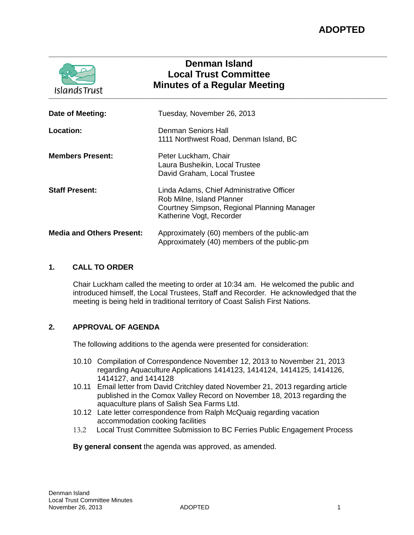| <b>IslandsTrust</b>              | <b>Denman Island</b><br><b>Local Trust Committee</b><br><b>Minutes of a Regular Meeting</b>                                                       |  |
|----------------------------------|---------------------------------------------------------------------------------------------------------------------------------------------------|--|
| Date of Meeting:                 | Tuesday, November 26, 2013                                                                                                                        |  |
| <b>Location:</b>                 | Denman Seniors Hall<br>1111 Northwest Road, Denman Island, BC                                                                                     |  |
| <b>Members Present:</b>          | Peter Luckham, Chair<br>Laura Busheikin, Local Trustee<br>David Graham, Local Trustee                                                             |  |
| <b>Staff Present:</b>            | Linda Adams, Chief Administrative Officer<br>Rob Milne, Island Planner<br>Courtney Simpson, Regional Planning Manager<br>Katherine Vogt, Recorder |  |
| <b>Media and Others Present:</b> | Approximately (60) members of the public-am<br>Approximately (40) members of the public-pm                                                        |  |

# **1. CALL TO ORDER**

Chair Luckham called the meeting to order at 10:34 am. He welcomed the public and introduced himself, the Local Trustees, Staff and Recorder. He acknowledged that the meeting is being held in traditional territory of Coast Salish First Nations.

**\_\_\_\_\_\_\_\_\_\_\_\_\_\_\_\_\_\_\_\_\_\_\_\_\_\_\_\_\_\_\_\_\_\_\_\_\_\_\_\_\_\_\_\_\_\_\_\_\_\_\_\_\_\_\_\_\_\_\_\_\_\_\_\_\_\_\_\_\_\_\_\_\_\_\_**

# **2. APPROVAL OF AGENDA**

The following additions to the agenda were presented for consideration:

- 10.10 Compilation of Correspondence November 12, 2013 to November 21, 2013 regarding Aquaculture Applications 1414123, 1414124, 1414125, 1414126, 1414127, and 1414128
- 10.11 Email letter from David Critchley dated November 21, 2013 regarding article published in the Comox Valley Record on November 18, 2013 regarding the aquaculture plans of Salish Sea Farms Ltd.
- 10.12 Late letter correspondence from Ralph McQuaig regarding vacation accommodation cooking facilities
- 13.2 Local Trust Committee Submission to BC Ferries Public Engagement Process

#### **By general consent** the agenda was approved, as amended.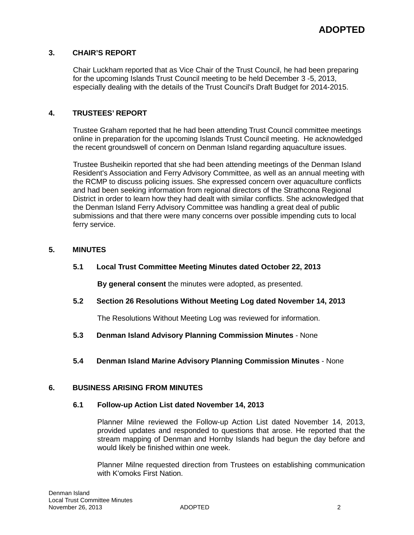# **3. CHAIR'S REPORT**

Chair Luckham reported that as Vice Chair of the Trust Council, he had been preparing for the upcoming Islands Trust Council meeting to be held December 3 -5, 2013, especially dealing with the details of the Trust Council's Draft Budget for 2014-2015.

# **4. TRUSTEES' REPORT**

Trustee Graham reported that he had been attending Trust Council committee meetings online in preparation for the upcoming Islands Trust Council meeting. He acknowledged the recent groundswell of concern on Denman Island regarding aquaculture issues.

Trustee Busheikin reported that she had been attending meetings of the Denman Island Resident's Association and Ferry Advisory Committee, as well as an annual meeting with the RCMP to discuss policing issues. She expressed concern over aquaculture conflicts and had been seeking information from regional directors of the Strathcona Regional District in order to learn how they had dealt with similar conflicts. She acknowledged that the Denman Island Ferry Advisory Committee was handling a great deal of public submissions and that there were many concerns over possible impending cuts to local ferry service.

# **5. MINUTES**

# **5.1 Local Trust Committee Meeting Minutes dated October 22, 2013**

**By general consent** the minutes were adopted, as presented.

**5.2 Section 26 Resolutions Without Meeting Log dated November 14, 2013**

The Resolutions Without Meeting Log was reviewed for information.

- **5.3 Denman Island Advisory Planning Commission Minutes**  None
- **5.4 Denman Island Marine Advisory Planning Commission Minutes**  None

# **6. BUSINESS ARISING FROM MINUTES**

#### **6.1 Follow-up Action List dated November 14, 2013**

Planner Milne reviewed the Follow-up Action List dated November 14, 2013, provided updates and responded to questions that arose. He reported that the stream mapping of Denman and Hornby Islands had begun the day before and would likely be finished within one week.

Planner Milne requested direction from Trustees on establishing communication with K'omoks First Nation.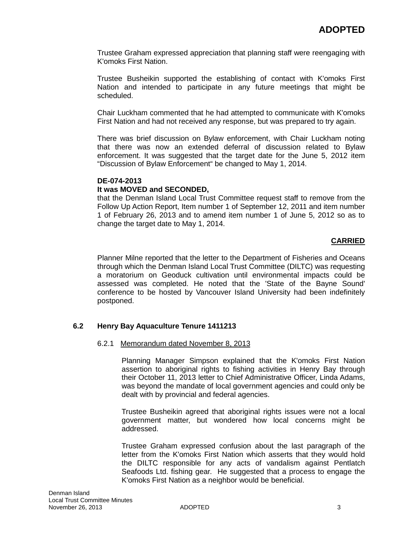Trustee Graham expressed appreciation that planning staff were reengaging with K'omoks First Nation.

Trustee Busheikin supported the establishing of contact with K'omoks First Nation and intended to participate in any future meetings that might be scheduled.

Chair Luckham commented that he had attempted to communicate with K'omoks First Nation and had not received any response, but was prepared to try again.

There was brief discussion on Bylaw enforcement, with Chair Luckham noting that there was now an extended deferral of discussion related to Bylaw enforcement. It was suggested that the target date for the June 5, 2012 item "Discussion of Bylaw Enforcement" be changed to May 1, 2014.

#### **DE-074-2013**

### **It was MOVED and SECONDED,**

that the Denman Island Local Trust Committee request staff to remove from the Follow Up Action Report, Item number 1 of September 12, 2011 and item number 1 of February 26, 2013 and to amend item number 1 of June 5, 2012 so as to change the target date to May 1, 2014.

### **CARRIED**

Planner Milne reported that the letter to the Department of Fisheries and Oceans through which the Denman Island Local Trust Committee (DILTC) was requesting a moratorium on Geoduck cultivation until environmental impacts could be assessed was completed. He noted that the 'State of the Bayne Sound' conference to be hosted by Vancouver Island University had been indefinitely postponed.

#### **6.2 Henry Bay Aquaculture Tenure 1411213**

#### 6.2.1 Memorandum dated November 8, 2013

Planning Manager Simpson explained that the K'omoks First Nation assertion to aboriginal rights to fishing activities in Henry Bay through their October 11, 2013 letter to Chief Administrative Officer, Linda Adams, was beyond the mandate of local government agencies and could only be dealt with by provincial and federal agencies.

Trustee Busheikin agreed that aboriginal rights issues were not a local government matter, but wondered how local concerns might be addressed.

Trustee Graham expressed confusion about the last paragraph of the letter from the K'omoks First Nation which asserts that they would hold the DILTC responsible for any acts of vandalism against Pentlatch Seafoods Ltd. fishing gear. He suggested that a process to engage the K'omoks First Nation as a neighbor would be beneficial.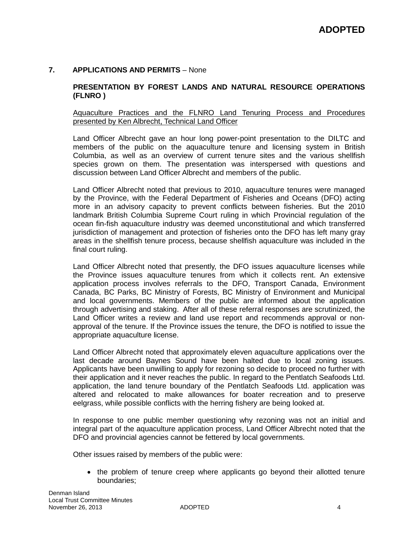# **7. APPLICATIONS AND PERMITS** – None

### **PRESENTATION BY FOREST LANDS AND NATURAL RESOURCE OPERATIONS (FLNRO )**

#### Aquaculture Practices and the FLNRO Land Tenuring Process and Procedures presented by Ken Albrecht, Technical Land Officer

Land Officer Albrecht gave an hour long power-point presentation to the DILTC and members of the public on the aquaculture tenure and licensing system in British Columbia, as well as an overview of current tenure sites and the various shellfish species grown on them. The presentation was interspersed with questions and discussion between Land Officer Albrecht and members of the public.

Land Officer Albrecht noted that previous to 2010, aquaculture tenures were managed by the Province, with the Federal Department of Fisheries and Oceans (DFO) acting more in an advisory capacity to prevent conflicts between fisheries. But the 2010 landmark British Columbia Supreme Court ruling in which Provincial regulation of the ocean fin-fish aquaculture industry was deemed unconstitutional and which transferred jurisdiction of management and protection of fisheries onto the DFO has left many gray areas in the shellfish tenure process, because shellfish aquaculture was included in the final court ruling.

Land Officer Albrecht noted that presently, the DFO issues aquaculture licenses while the Province issues aquaculture tenures from which it collects rent. An extensive application process involves referrals to the DFO, Transport Canada, Environment Canada, BC Parks, BC Ministry of Forests, BC Ministry of Environment and Municipal and local governments. Members of the public are informed about the application through advertising and staking. After all of these referral responses are scrutinized, the Land Officer writes a review and land use report and recommends approval or nonapproval of the tenure. If the Province issues the tenure, the DFO is notified to issue the appropriate aquaculture license.

Land Officer Albrecht noted that approximately eleven aquaculture applications over the last decade around Baynes Sound have been halted due to local zoning issues. Applicants have been unwilling to apply for rezoning so decide to proceed no further with their application and it never reaches the public. In regard to the Pentlatch Seafoods Ltd. application, the land tenure boundary of the Pentlatch Seafoods Ltd. application was altered and relocated to make allowances for boater recreation and to preserve eelgrass, while possible conflicts with the herring fishery are being looked at.

In response to one public member questioning why rezoning was not an initial and integral part of the aquaculture application process, Land Officer Albrecht noted that the DFO and provincial agencies cannot be fettered by local governments.

Other issues raised by members of the public were:

• the problem of tenure creep where applicants go beyond their allotted tenure boundaries;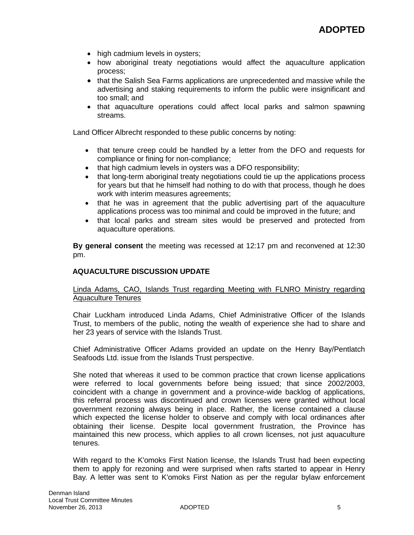- high cadmium levels in oysters;
- how aboriginal treaty negotiations would affect the aquaculture application process;
- that the Salish Sea Farms applications are unprecedented and massive while the advertising and staking requirements to inform the public were insignificant and too small; and
- that aquaculture operations could affect local parks and salmon spawning streams.

Land Officer Albrecht responded to these public concerns by noting:

- that tenure creep could be handled by a letter from the DFO and requests for compliance or fining for non-compliance;
- that high cadmium levels in oysters was a DFO responsibility;
- that long-term aboriginal treaty negotiations could tie up the applications process for years but that he himself had nothing to do with that process, though he does work with interim measures agreements;
- that he was in agreement that the public advertising part of the aquaculture applications process was too minimal and could be improved in the future; and
- that local parks and stream sites would be preserved and protected from aquaculture operations.

**By general consent** the meeting was recessed at 12:17 pm and reconvened at 12:30 pm.

# **AQUACULTURE DISCUSSION UPDATE**

### Linda Adams, CAO, Islands Trust regarding Meeting with FLNRO Ministry regarding Aquaculture Tenures

Chair Luckham introduced Linda Adams, Chief Administrative Officer of the Islands Trust, to members of the public, noting the wealth of experience she had to share and her 23 years of service with the Islands Trust.

Chief Administrative Officer Adams provided an update on the Henry Bay/Pentlatch Seafoods Ltd. issue from the Islands Trust perspective.

She noted that whereas it used to be common practice that crown license applications were referred to local governments before being issued; that since 2002/2003, coincident with a change in government and a province-wide backlog of applications, this referral process was discontinued and crown licenses were granted without local government rezoning always being in place. Rather, the license contained a clause which expected the license holder to observe and comply with local ordinances after obtaining their license. Despite local government frustration, the Province has maintained this new process, which applies to all crown licenses, not just aquaculture tenures.

With regard to the K'omoks First Nation license, the Islands Trust had been expecting them to apply for rezoning and were surprised when rafts started to appear in Henry Bay. A letter was sent to K'omoks First Nation as per the regular bylaw enforcement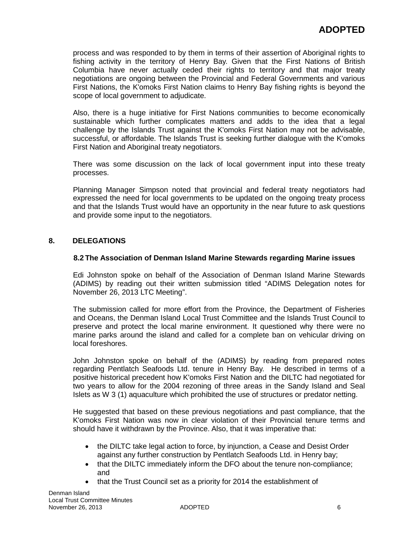process and was responded to by them in terms of their assertion of Aboriginal rights to fishing activity in the territory of Henry Bay. Given that the First Nations of British Columbia have never actually ceded their rights to territory and that major treaty negotiations are ongoing between the Provincial and Federal Governments and various First Nations, the K'omoks First Nation claims to Henry Bay fishing rights is beyond the scope of local government to adjudicate.

Also, there is a huge initiative for First Nations communities to become economically sustainable which further complicates matters and adds to the idea that a legal challenge by the Islands Trust against the K'omoks First Nation may not be advisable, successful, or affordable. The Islands Trust is seeking further dialogue with the K'omoks First Nation and Aboriginal treaty negotiators.

There was some discussion on the lack of local government input into these treaty processes.

Planning Manager Simpson noted that provincial and federal treaty negotiators had expressed the need for local governments to be updated on the ongoing treaty process and that the Islands Trust would have an opportunity in the near future to ask questions and provide some input to the negotiators.

# **8. DELEGATIONS**

# **8.2 The Association of Denman Island Marine Stewards regarding Marine issues**

Edi Johnston spoke on behalf of the Association of Denman Island Marine Stewards (ADIMS) by reading out their written submission titled "ADIMS Delegation notes for November 26, 2013 LTC Meeting".

The submission called for more effort from the Province, the Department of Fisheries and Oceans, the Denman Island Local Trust Committee and the Islands Trust Council to preserve and protect the local marine environment. It questioned why there were no marine parks around the island and called for a complete ban on vehicular driving on local foreshores.

John Johnston spoke on behalf of the (ADIMS) by reading from prepared notes regarding Pentlatch Seafoods Ltd. tenure in Henry Bay. He described in terms of a positive historical precedent how K'omoks First Nation and the DILTC had negotiated for two years to allow for the 2004 rezoning of three areas in the Sandy Island and Seal Islets as W 3 (1) aquaculture which prohibited the use of structures or predator netting.

He suggested that based on these previous negotiations and past compliance, that the K'omoks First Nation was now in clear violation of their Provincial tenure terms and should have it withdrawn by the Province. Also, that it was imperative that:

- the DILTC take legal action to force, by injunction, a Cease and Desist Order against any further construction by Pentlatch Seafoods Ltd. in Henry bay;
- that the DILTC immediately inform the DFO about the tenure non-compliance; and
- that the Trust Council set as a priority for 2014 the establishment of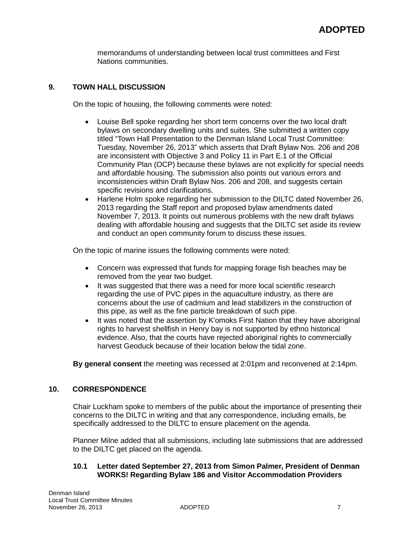memorandums of understanding between local trust committees and First Nations communities.

# **9. TOWN HALL DISCUSSION**

On the topic of housing, the following comments were noted:

- Louise Bell spoke regarding her short term concerns over the two local draft bylaws on secondary dwelling units and suites. She submitted a written copy titled "Town Hall Presentation to the Denman Island Local Trust Committee: Tuesday, November 26, 2013" which asserts that Draft Bylaw Nos. 206 and 208 are inconsistent with Objective 3 and Policy 11 in Part E.1 of the Official Community Plan (OCP) because these bylaws are not explicitly for special needs and affordable housing. The submission also points out various errors and inconsistencies within Draft Bylaw Nos. 206 and 208, and suggests certain specific revisions and clarifications.
- Harlene Holm spoke regarding her submission to the DILTC dated November 26, 2013 regarding the Staff report and proposed bylaw amendments dated November 7, 2013. It points out numerous problems with the new draft bylaws dealing with affordable housing and suggests that the DILTC set aside its review and conduct an open community forum to discuss these issues.

On the topic of marine issues the following comments were noted:

- Concern was expressed that funds for mapping forage fish beaches may be removed from the year two budget.
- It was suggested that there was a need for more local scientific research regarding the use of PVC pipes in the aquaculture industry, as there are concerns about the use of cadmium and lead stabilizers in the construction of this pipe, as well as the fine particle breakdown of such pipe.
- It was noted that the assertion by K'omoks First Nation that they have aboriginal rights to harvest shellfish in Henry bay is not supported by ethno historical evidence. Also, that the courts have rejected aboriginal rights to commercially harvest Geoduck because of their location below the tidal zone.

**By general consent** the meeting was recessed at 2:01pm and reconvened at 2:14pm.

# **10. CORRESPONDENCE**

Chair Luckham spoke to members of the public about the importance of presenting their concerns to the DILTC in writing and that any correspondence, including emails, be specifically addressed to the DILTC to ensure placement on the agenda.

Planner Milne added that all submissions, including late submissions that are addressed to the DILTC get placed on the agenda.

### **10.1 Letter dated September 27, 2013 from Simon Palmer, President of Denman WORKS! Regarding Bylaw 186 and Visitor Accommodation Providers**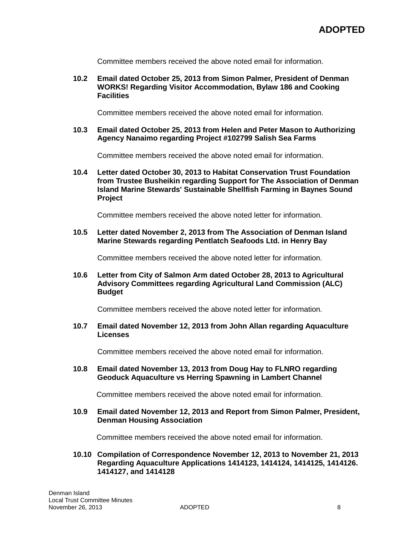Committee members received the above noted email for information.

### **10.2 Email dated October 25, 2013 from Simon Palmer, President of Denman WORKS! Regarding Visitor Accommodation, Bylaw 186 and Cooking Facilities**

Committee members received the above noted email for information.

**10.3 Email dated October 25, 2013 from Helen and Peter Mason to Authorizing Agency Nanaimo regarding Project #102799 Salish Sea Farms**

Committee members received the above noted email for information.

**10.4 Letter dated October 30, 2013 to Habitat Conservation Trust Foundation from Trustee Busheikin regarding Support for The Association of Denman Island Marine Stewards' Sustainable Shellfish Farming in Baynes Sound Project**

Committee members received the above noted letter for information.

**10.5 Letter dated November 2, 2013 from The Association of Denman Island Marine Stewards regarding Pentlatch Seafoods Ltd. in Henry Bay**

Committee members received the above noted letter for information.

**10.6 Letter from City of Salmon Arm dated October 28, 2013 to Agricultural Advisory Committees regarding Agricultural Land Commission (ALC) Budget**

Committee members received the above noted letter for information.

**10.7 Email dated November 12, 2013 from John Allan regarding Aquaculture Licenses**

Committee members received the above noted email for information.

**10.8 Email dated November 13, 2013 from Doug Hay to FLNRO regarding Geoduck Aquaculture vs Herring Spawning in Lambert Channel**

Committee members received the above noted email for information.

**10.9 Email dated November 12, 2013 and Report from Simon Palmer, President, Denman Housing Association**

Committee members received the above noted email for information.

**10.10 Compilation of Correspondence November 12, 2013 to November 21, 2013 Regarding Aquaculture Applications 1414123, 1414124, 1414125, 1414126. 1414127, and 1414128**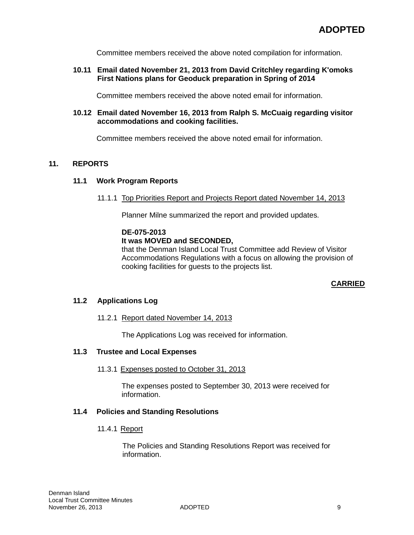Committee members received the above noted compilation for information.

### **10.11 Email dated November 21, 2013 from David Critchley regarding K'omoks First Nations plans for Geoduck preparation in Spring of 2014**

Committee members received the above noted email for information.

#### **10.12 Email dated November 16, 2013 from Ralph S. McCuaig regarding visitor accommodations and cooking facilities.**

Committee members received the above noted email for information.

# **11. REPORTS**

#### **11.1 Work Program Reports**

#### 11.1.1 Top Priorities Report and Projects Report dated November 14, 2013

Planner Milne summarized the report and provided updates.

### **DE-075-2013**

#### **It was MOVED and SECONDED,**

that the Denman Island Local Trust Committee add Review of Visitor Accommodations Regulations with a focus on allowing the provision of cooking facilities for guests to the projects list.

#### **CARRIED**

### **11.2 Applications Log**

#### 11.2.1 Report dated November 14, 2013

The Applications Log was received for information.

#### **11.3 Trustee and Local Expenses**

#### 11.3.1 Expenses posted to October 31, 2013

The expenses posted to September 30, 2013 were received for information.

#### **11.4 Policies and Standing Resolutions**

#### 11.4.1 Report

The Policies and Standing Resolutions Report was received for information.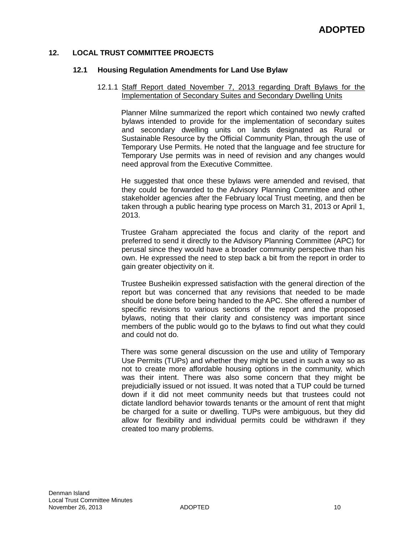# **12. LOCAL TRUST COMMITTEE PROJECTS**

#### **12.1 Housing Regulation Amendments for Land Use Bylaw**

#### 12.1.1 Staff Report dated November 7, 2013 regarding Draft Bylaws for the Implementation of Secondary Suites and Secondary Dwelling Units

Planner Milne summarized the report which contained two newly crafted bylaws intended to provide for the implementation of secondary suites and secondary dwelling units on lands designated as Rural or Sustainable Resource by the Official Community Plan, through the use of Temporary Use Permits. He noted that the language and fee structure for Temporary Use permits was in need of revision and any changes would need approval from the Executive Committee.

He suggested that once these bylaws were amended and revised, that they could be forwarded to the Advisory Planning Committee and other stakeholder agencies after the February local Trust meeting, and then be taken through a public hearing type process on March 31, 2013 or April 1, 2013.

Trustee Graham appreciated the focus and clarity of the report and preferred to send it directly to the Advisory Planning Committee (APC) for perusal since they would have a broader community perspective than his own. He expressed the need to step back a bit from the report in order to gain greater objectivity on it.

Trustee Busheikin expressed satisfaction with the general direction of the report but was concerned that any revisions that needed to be made should be done before being handed to the APC. She offered a number of specific revisions to various sections of the report and the proposed bylaws, noting that their clarity and consistency was important since members of the public would go to the bylaws to find out what they could and could not do.

There was some general discussion on the use and utility of Temporary Use Permits (TUPs) and whether they might be used in such a way so as not to create more affordable housing options in the community, which was their intent. There was also some concern that they might be prejudicially issued or not issued. It was noted that a TUP could be turned down if it did not meet community needs but that trustees could not dictate landlord behavior towards tenants or the amount of rent that might be charged for a suite or dwelling. TUPs were ambiguous, but they did allow for flexibility and individual permits could be withdrawn if they created too many problems.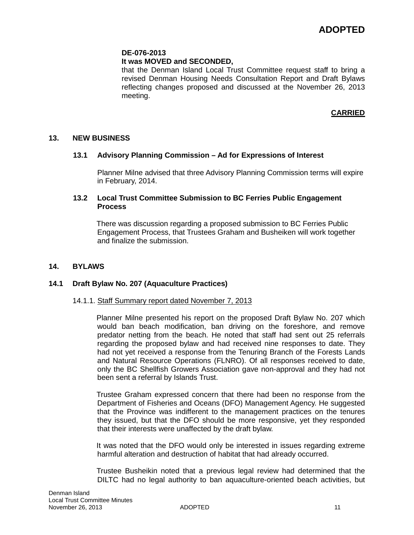### **DE-076-2013**

### **It was MOVED and SECONDED,**

that the Denman Island Local Trust Committee request staff to bring a revised Denman Housing Needs Consultation Report and Draft Bylaws reflecting changes proposed and discussed at the November 26, 2013 meeting.

# **CARRIED**

### **13. NEW BUSINESS**

### **13.1 Advisory Planning Commission – Ad for Expressions of Interest**

Planner Milne advised that three Advisory Planning Commission terms will expire in February, 2014.

### **13.2 Local Trust Committee Submission to BC Ferries Public Engagement Process**

There was discussion regarding a proposed submission to BC Ferries Public Engagement Process, that Trustees Graham and Busheiken will work together and finalize the submission.

### **14. BYLAWS**

#### **14.1 Draft Bylaw No. 207 (Aquaculture Practices)**

#### 14.1.1. Staff Summary report dated November 7, 2013

Planner Milne presented his report on the proposed Draft Bylaw No. 207 which would ban beach modification, ban driving on the foreshore, and remove predator netting from the beach. He noted that staff had sent out 25 referrals regarding the proposed bylaw and had received nine responses to date. They had not yet received a response from the Tenuring Branch of the Forests Lands and Natural Resource Operations (FLNRO). Of all responses received to date, only the BC Shellfish Growers Association gave non-approval and they had not been sent a referral by Islands Trust.

Trustee Graham expressed concern that there had been no response from the Department of Fisheries and Oceans (DFO) Management Agency. He suggested that the Province was indifferent to the management practices on the tenures they issued, but that the DFO should be more responsive, yet they responded that their interests were unaffected by the draft bylaw.

It was noted that the DFO would only be interested in issues regarding extreme harmful alteration and destruction of habitat that had already occurred.

Trustee Busheikin noted that a previous legal review had determined that the DILTC had no legal authority to ban aquaculture-oriented beach activities, but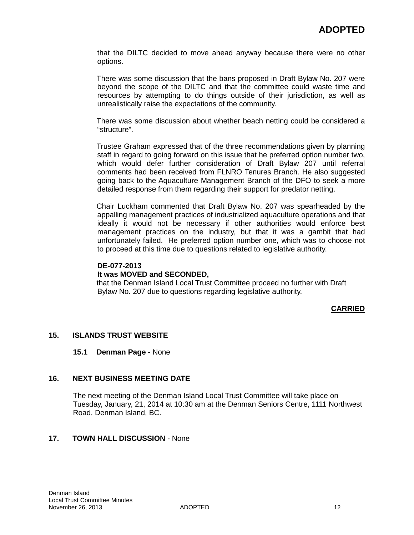that the DILTC decided to move ahead anyway because there were no other options.

There was some discussion that the bans proposed in Draft Bylaw No. 207 were beyond the scope of the DILTC and that the committee could waste time and resources by attempting to do things outside of their jurisdiction, as well as unrealistically raise the expectations of the community.

There was some discussion about whether beach netting could be considered a "structure".

Trustee Graham expressed that of the three recommendations given by planning staff in regard to going forward on this issue that he preferred option number two, which would defer further consideration of Draft Bylaw 207 until referral comments had been received from FLNRO Tenures Branch. He also suggested going back to the Aquaculture Management Branch of the DFO to seek a more detailed response from them regarding their support for predator netting.

Chair Luckham commented that Draft Bylaw No. 207 was spearheaded by the appalling management practices of industrialized aquaculture operations and that ideally it would not be necessary if other authorities would enforce best management practices on the industry, but that it was a gambit that had unfortunately failed. He preferred option number one, which was to choose not to proceed at this time due to questions related to legislative authority.

### **DE-077-2013**

#### **It was MOVED and SECONDED,**

that the Denman Island Local Trust Committee proceed no further with Draft Bylaw No. 207 due to questions regarding legislative authority.

# **CARRIED**

# **15. ISLANDS TRUST WEBSITE**

#### **15.1 Denman Page** - None

#### **16. NEXT BUSINESS MEETING DATE**

The next meeting of the Denman Island Local Trust Committee will take place on Tuesday, January, 21, 2014 at 10:30 am at the Denman Seniors Centre, 1111 Northwest Road, Denman Island, BC.

# **17. TOWN HALL DISCUSSION** - None